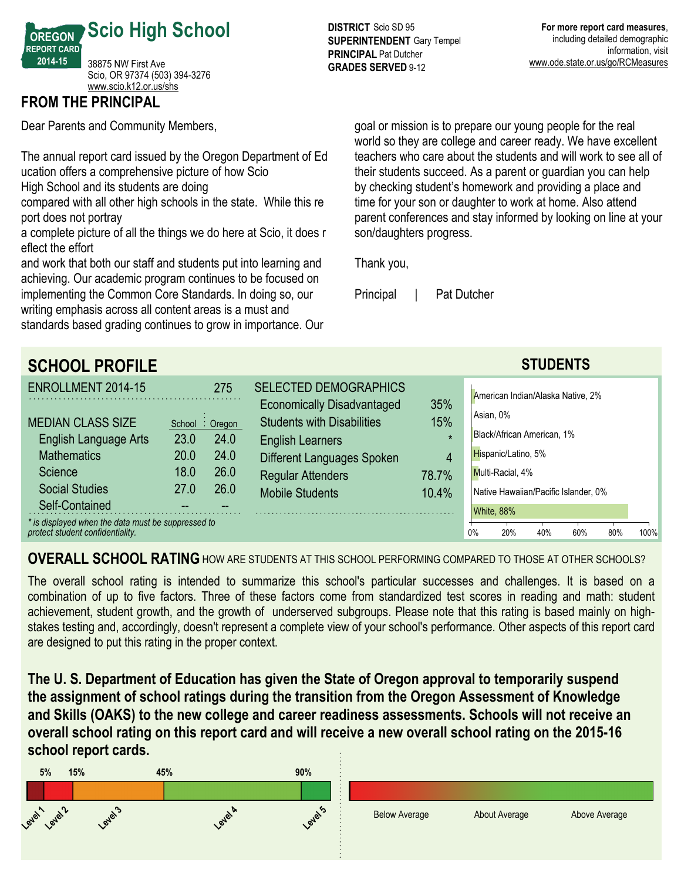

# **FROM THE PRINCIPAL**

Dear Parents and Community Members,

The annual report card issued by the Oregon Department of Ed ucation offers a comprehensive picture of how Scio

High School and its students are doing

compared with all other high schools in the state. While this re port does not portray

a complete picture of all the things we do here at Scio, it does r eflect the effort

and work that both our staff and students put into learning and achieving. Our academic program continues to be focused on implementing the Common Core Standards. In doing so, our writing emphasis across all content areas is a must and standards based grading continues to grow in importance. Our

**DISTRICT** Scio SD 95 **SUPERINTENDENT** Gary Tempel **PRINCIPAL** Pat Dutcher **GRADES SERVED 9-12** 

goal or mission is to prepare our young people for the real world so they are college and career ready. We have excellent teachers who care about the students and will work to see all of their students succeed. As a parent or guardian you can help by checking student's homework and providing a place and time for your son or daughter to work at home. Also attend parent conferences and stay informed by looking on line at your son/daughters progress.

Thank you,

Principal | Pat Dutcher

| <b>SCHOOL PROFILE</b>                                                                  |                |                             |                                                                   |                | <b>STUDENTS</b>                         |
|----------------------------------------------------------------------------------------|----------------|-----------------------------|-------------------------------------------------------------------|----------------|-----------------------------------------|
| ENROLLMENT 2014-15                                                                     |                | 275                         | <b>SELECTED DEMOGRAPHICS</b><br><b>Economically Disadvantaged</b> | 35%            | American Indian/Alaska Native, 2%       |
| <b>MEDIAN CLASS SIZE</b><br>English Language Arts                                      | School<br>23.0 | $\therefore$ Oregon<br>24.0 | <b>Students with Disabilities</b><br><b>English Learners</b>      | 15%<br>$\star$ | Asian, 0%<br>Black/African American, 1% |
| <b>Mathematics</b>                                                                     | 20.0           | 24.0                        | Different Languages Spoken                                        | $\overline{4}$ | Hispanic/Latino, 5%                     |
| Science                                                                                | 18.0           | 26.0                        | <b>Regular Attenders</b>                                          | 78.7%          | Multi-Racial, 4%                        |
| <b>Social Studies</b>                                                                  | 27.0           | 26.0                        | <b>Mobile Students</b>                                            | 10.4%          | Native Hawaiian/Pacific Islander, 0%    |
| Self-Contained                                                                         |                |                             |                                                                   |                | White, 88%                              |
| * is displayed when the data must be suppressed to<br>protect student confidentiality. |                |                             |                                                                   |                | 0%<br>100%<br>20%<br>40%<br>60%<br>80%  |

**OVERALL SCHOOL RATING** HOW ARE STUDENTS AT THIS SCHOOL PERFORMING COMPARED TO THOSE AT OTHER SCHOOLS?

The overall school rating is intended to summarize this school's particular successes and challenges. It is based on a combination of up to five factors. Three of these factors come from standardized test scores in reading and math: student achievement, student growth, and the growth of underserved subgroups. Please note that this rating is based mainly on highstakes testing and, accordingly, doesn't represent a complete view of your school's performance. Other aspects of this report card are designed to put this rating in the proper context.

**The U. S. Department of Education has given the State of Oregon approval to temporarily suspend the assignment of school ratings during the transition from the Oregon Assessment of Knowledge and Skills (OAKS) to the new college and career readiness assessments. Schools will not receive an overall school rating on this report card and will receive a new overall school rating on the 201516 school report cards.**

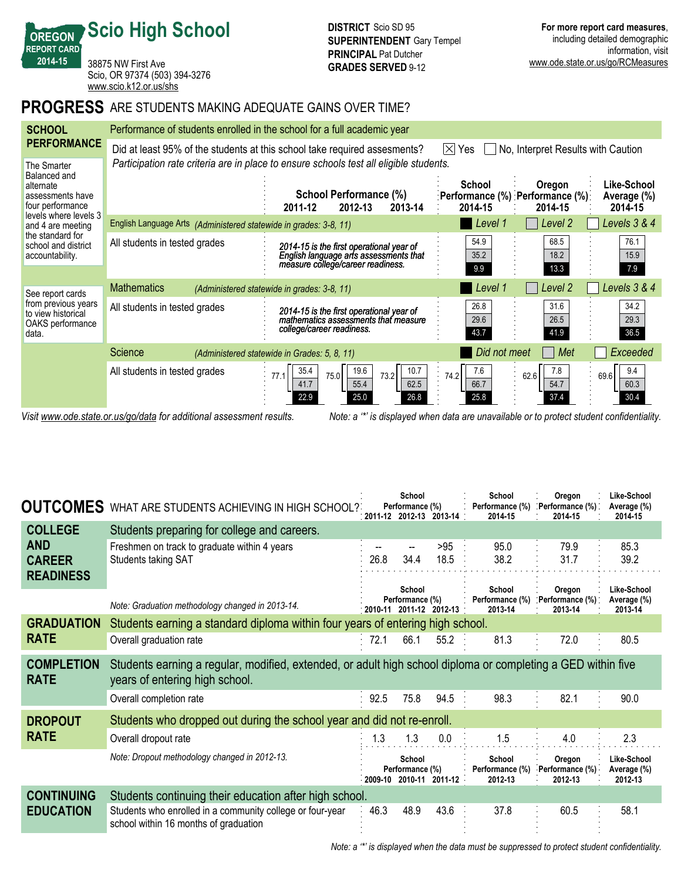38875 NW First Ave Scio, OR 97374 (503) 394-3276 <www.scio.k12.or.us/shs>

**Scio High School**

**OREGON REPORT CARD 201415**

# **PROGRESS** ARE STUDENTS MAKING ADEQUATE GAINS OVER TIME?

| <b>SCHOOL</b>                                                                    | Performance of students enrolled in the school for a full academic year |                                                                                                                                                   |                                                  |                                                         |                                       |  |  |  |  |  |  |  |
|----------------------------------------------------------------------------------|-------------------------------------------------------------------------|---------------------------------------------------------------------------------------------------------------------------------------------------|--------------------------------------------------|---------------------------------------------------------|---------------------------------------|--|--|--|--|--|--|--|
| <b>PERFORMANCE</b>                                                               |                                                                         | Did at least 95% of the students at this school take required assesments?                                                                         | No, Interpret Results with Caution<br>IXI<br>Yes |                                                         |                                       |  |  |  |  |  |  |  |
| The Smarter<br>Balanced and<br>alternate<br>assessments have<br>four performance |                                                                         | Participation rate criteria are in place to ensure schools test all eligible students.<br>School Performance (%)<br>2012-13<br>2011-12<br>2013-14 | School<br>2014-15                                | Oregon<br>:Performance (%) :Performance (%):<br>2014-15 | Like-School<br>Average (%)<br>2014-15 |  |  |  |  |  |  |  |
| levels where levels 3<br>and 4 are meeting                                       | English Language Arts (Administered statewide in grades: 3-8, 11)       |                                                                                                                                                   | Level 1                                          | Level 2                                                 | Levels 3 & 4                          |  |  |  |  |  |  |  |
| the standard for<br>school and district<br>accountability.                       | All students in tested grades                                           | 2014-15 is the first operational year of<br>English language arts assessments that<br>measure college/career readiness.                           | 54.9<br>35.2<br>9.9                              | 68.5<br>18.2<br>13.3                                    | 76.1<br>15.9<br>7.9                   |  |  |  |  |  |  |  |
| See report cards                                                                 | <b>Mathematics</b>                                                      | (Administered statewide in grades: 3-8, 11)                                                                                                       | Level 1                                          | Level 2                                                 | Levels 3 & 4                          |  |  |  |  |  |  |  |
| from previous years<br>to view historical<br>OAKS performance<br>data.           | All students in tested grades                                           | 2014-15 is the first operational year of<br>mathematics assessments that measure<br>college/career readiness.                                     | 26.8<br>29.6<br>43.7                             | 31.6<br>26.5<br>41.9                                    | 34.2<br>29.3<br>36.5                  |  |  |  |  |  |  |  |
|                                                                                  | Science                                                                 | (Administered statewide in Grades: 5, 8, 11)                                                                                                      | Did not meet                                     | Met                                                     | Exceeded                              |  |  |  |  |  |  |  |
|                                                                                  | All students in tested grades                                           | 19.6<br>10.7<br>35.4<br>73.2<br>75.0<br>77.1<br>62.5<br>41.7<br>55.4<br>26.8<br>22.9<br>25.0                                                      | 7.6<br>74.2<br>66.7<br>25.8                      | 7.8<br>62.6<br>54.7<br>37.4                             | 9.4<br>69.6<br>60.3<br>30.4           |  |  |  |  |  |  |  |

*Visit www.ode.state.or.us/go/data for additional assessment results. Note: a '\*' is displayed when data are unavailable or to protect student confidentiality.*

| <b>OUTCOMES</b>                                 | WHAT ARE STUDENTS ACHIEVING IN HIGH SCHOOL?                                                                                                    |         | School<br>Performance (%) | . 2011-12 2012-13 2013-14 . | School<br>Performance (%)<br>2014-15 | Oregon<br>. Performance (%) .<br>2014-15 | Like-School<br>Average (%)<br>2014-15 |
|-------------------------------------------------|------------------------------------------------------------------------------------------------------------------------------------------------|---------|---------------------------|-----------------------------|--------------------------------------|------------------------------------------|---------------------------------------|
| <b>COLLEGE</b>                                  | Students preparing for college and careers.                                                                                                    |         |                           |                             |                                      |                                          |                                       |
| <b>AND</b><br><b>CAREER</b><br><b>READINESS</b> | Freshmen on track to graduate within 4 years<br>Students taking SAT                                                                            | 26.8    | 34.4                      | >95<br>18.5                 | 95.0<br>38.2                         | 79.9<br>31.7                             | 85.3<br>39.2                          |
|                                                 | Note: Graduation methodology changed in 2013-14.                                                                                               | 2010-11 | School<br>Performance (%) | $2011 - 12$ 2012-13         | School<br>Performance (%)<br>2013-14 | Oregon<br>Performance (%)<br>2013-14     | Like-School<br>Average (%)<br>2013-14 |
| <b>GRADUATION</b>                               | Students earning a standard diploma within four years of entering high school.                                                                 |         |                           |                             |                                      |                                          |                                       |
| <b>RATE</b>                                     | Overall graduation rate                                                                                                                        | 72.1    | 66.1                      | 55.2                        | 81.3                                 | 72.0                                     | 80.5                                  |
| <b>COMPLETION</b><br><b>RATE</b>                | Students earning a regular, modified, extended, or adult high school diploma or completing a GED within five<br>years of entering high school. |         |                           |                             |                                      |                                          |                                       |
|                                                 | Overall completion rate                                                                                                                        | 92.5    | 75.8                      | 94.5                        | 98.3                                 | 82.1                                     | 90.0                                  |
| <b>DROPOUT</b>                                  | Students who dropped out during the school year and did not re-enroll.                                                                         |         |                           |                             |                                      |                                          |                                       |
| <b>RATE</b>                                     | Overall dropout rate                                                                                                                           | 1.3     | 1.3                       | 0.0                         | 1.5                                  | 4.0                                      | 2.3                                   |
|                                                 | Note: Dropout methodology changed in 2012-13.                                                                                                  | 2009-10 | School<br>Performance (%) | 2010-11 2011-12             | School<br>Performance (%)<br>2012-13 | Oregon<br>Performance (%)<br>2012-13     | Like-School<br>Average (%)<br>2012-13 |
| <b>CONTINUING</b>                               | Students continuing their education after high school.                                                                                         |         |                           |                             |                                      |                                          |                                       |
| <b>EDUCATION</b>                                | Students who enrolled in a community college or four-year<br>school within 16 months of graduation                                             | 46.3    | 48.9                      | 43.6                        | 37.8                                 | 60.5                                     | 58.1                                  |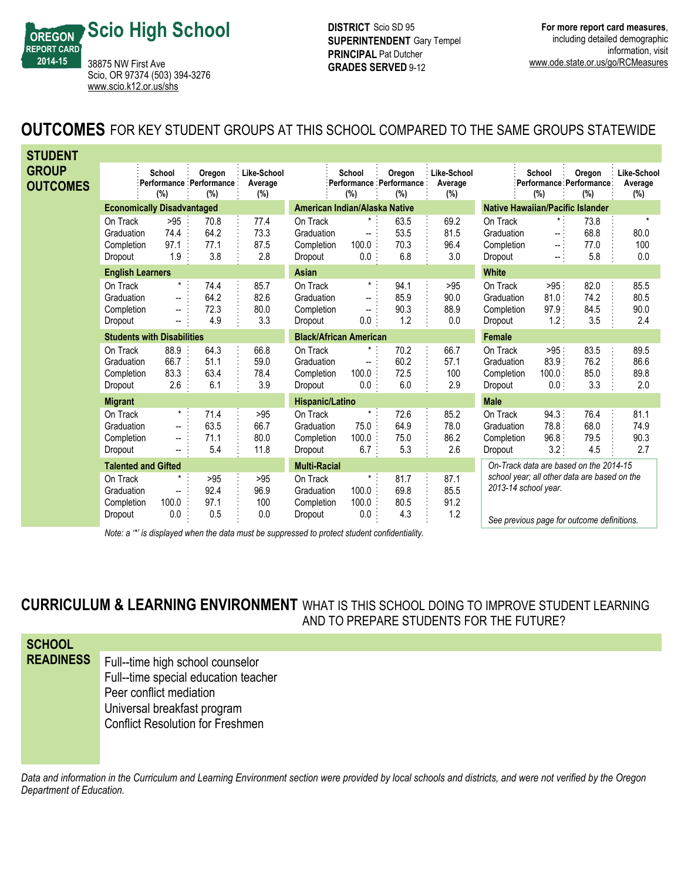

**DISTRICT** Scio SD 95 **SUPERINTENDENT** Gary Tempel **PRINCIPAL** Pat Dutcher **GRADES SERVED 9-12** 

# **OUTCOMES** FOR KEY STUDENT GROUPS AT THIS SCHOOL COMPARED TO THE SAME GROUPS STATEWIDE

| <b>STUDENT</b>                  |                                                 |                                 |                                           |                               |                                                 |                                                      |                                          |                                         |                                                 |                                                 |                                                                                            |                               |
|---------------------------------|-------------------------------------------------|---------------------------------|-------------------------------------------|-------------------------------|-------------------------------------------------|------------------------------------------------------|------------------------------------------|-----------------------------------------|-------------------------------------------------|-------------------------------------------------|--------------------------------------------------------------------------------------------|-------------------------------|
| <b>GROUP</b><br><b>OUTCOMES</b> |                                                 | School<br>(%)                   | Oregon<br>Performance Performance:<br>(%) | Like-School<br>Average<br>(%) |                                                 | School<br>(%)                                        | Oregon<br>Performance Performance<br>(%) | Like-School<br>Average<br>(%)           |                                                 | School<br>(%)                                   | Oregon<br>Performance Performance:<br>(%)                                                  | Like-School<br>Average<br>(%) |
|                                 | <b>Economically Disadvantaged</b>               |                                 |                                           |                               | American Indian/Alaska Native                   |                                                      |                                          | <b>Native Hawaiian/Pacific Islander</b> |                                                 |                                                 |                                                                                            |                               |
|                                 | On Track<br>Graduation<br>Completion<br>Dropout | >95<br>74.4<br>97.1<br>1.9      | 70.8<br>64.2<br>77.1<br>3.8               | 77.4<br>73.3<br>87.5<br>2.8   | On Track<br>Graduation<br>Completion<br>Dropout | $\star$<br>$\overline{\phantom{0}}$<br>100.0<br>0.0: | 63.5<br>53.5<br>70.3<br>6.8              | 69.2<br>81.5<br>96.4<br>3.0             | On Track<br>Graduation<br>Completion<br>Dropout | $\pmb{\star}$ .<br>-- 1<br>$\sim$ .<br>$\sim 1$ | 73.8<br>68.8<br>77.0<br>5.8                                                                | $\star$<br>80.0<br>100<br>0.0 |
|                                 | <b>English Learners</b>                         |                                 |                                           |                               | <b>Asian</b>                                    |                                                      |                                          |                                         | <b>White</b>                                    |                                                 |                                                                                            |                               |
|                                 | On Track<br>Graduation<br>Completion<br>Dropout | $\star$ :<br>--<br>--<br>--     | 74.4<br>64.2<br>72.3<br>4.9               | 85.7<br>82.6<br>80.0<br>3.3   | On Track<br>Graduation<br>Completion<br>Dropout | $\star$ .<br>--<br>--<br>$0.0$ :                     | 94.1<br>85.9<br>90.3<br>1.2              | >95<br>90.0<br>88.9<br>0.0              | On Track<br>Graduation<br>Completion<br>Dropout | >95<br>81.0<br>97.9:<br>1.2:                    | 82.0<br>74.2<br>84.5<br>3.5                                                                | 85.5<br>80.5<br>90.0<br>2.4   |
|                                 | <b>Students with Disabilities</b>               |                                 |                                           | <b>Black/African American</b> |                                                 |                                                      | Female                                   |                                         |                                                 |                                                 |                                                                                            |                               |
|                                 | On Track<br>Graduation<br>Completion<br>Dropout | 88.9<br>66.7<br>83.3<br>2.6     | 64.3<br>51.1<br>63.4<br>6.1               | 66.8<br>59.0<br>78.4<br>3.9   | On Track<br>Graduation<br>Completion<br>Dropout | --<br>100.0<br>$0.0$ :                               | 70.2<br>60.2<br>72.5<br>6.0              | 66.7<br>57.1<br>100<br>2.9              | On Track<br>Graduation<br>Completion<br>Dropout | $>95$ :<br>83.9.<br>100.0<br>0.0:               | 83.5<br>76.2<br>85.0<br>3.3                                                                | 89.5<br>86.6<br>89.8<br>2.0   |
|                                 | <b>Migrant</b>                                  |                                 |                                           |                               | <b>Hispanic/Latino</b>                          |                                                      |                                          |                                         | <b>Male</b>                                     |                                                 |                                                                                            |                               |
|                                 | On Track<br>Graduation<br>Completion<br>Dropout | $\star$<br>−−<br>$\overline{a}$ | 71.4<br>63.5<br>71.1<br>5.4               | >95<br>66.7<br>80.0<br>11.8   | On Track<br>Graduation<br>Completion<br>Dropout | $^\star$<br>75.0<br>100.0<br>6.7:                    | 72.6<br>64.9<br>75.0<br>5.3              | 85.2<br>78.0<br>86.2<br>2.6             | On Track<br>Graduation<br>Completion<br>Dropout | 94.3:<br>78.8.<br>96.8:<br>3.2:                 | 76.4<br>68.0<br>79.5<br>4.5                                                                | 81.1<br>74.9<br>90.3<br>2.7   |
| <b>Talented and Gifted</b>      |                                                 |                                 |                                           | <b>Multi-Racial</b>           |                                                 |                                                      |                                          | On-Track data are based on the 2014-15  |                                                 |                                                 |                                                                                            |                               |
|                                 | On Track<br>Graduation<br>Completion<br>Dropout | $\mathbf{L}$<br>100.0<br>0.0    | >95<br>92.4<br>97.1<br>0.5                | $>95$<br>96.9<br>100<br>0.0   | On Track<br>Graduation<br>Completion<br>Dropout | $\star$ .<br>100.0<br>100.0<br>0.0                   | 81.7<br>69.8<br>80.5<br>4.3              | 87.1<br>85.5<br>91.2<br>1.2             | 2013-14 school year.                            |                                                 | school year; all other data are based on the<br>See previous page for outcome definitions. |                               |

*Note: a '\*' is displayed when the data must be suppressed to protect student confidentiality.*

*See previous page for outcome definitions.*

**CURRICULUM & LEARNING ENVIRONMENT** WHAT IS THIS SCHOOL DOING TO IMPROVE STUDENT LEARNING

AND TO PREPARE STUDENTS FOR THE FUTURE?

| <b>SCHOOL</b>    |                                                                                                     |
|------------------|-----------------------------------------------------------------------------------------------------|
| <b>READINESS</b> | Full--time high school counselor<br>Full--time special education teacher<br>Peer conflict mediation |
|                  | Universal breakfast program<br><b>Conflict Resolution for Freshmen</b>                              |

*Data and information in the Curriculum and Learning Environment section were provided by local schools and districts, and were not verified by the Oregon Department of Education.*